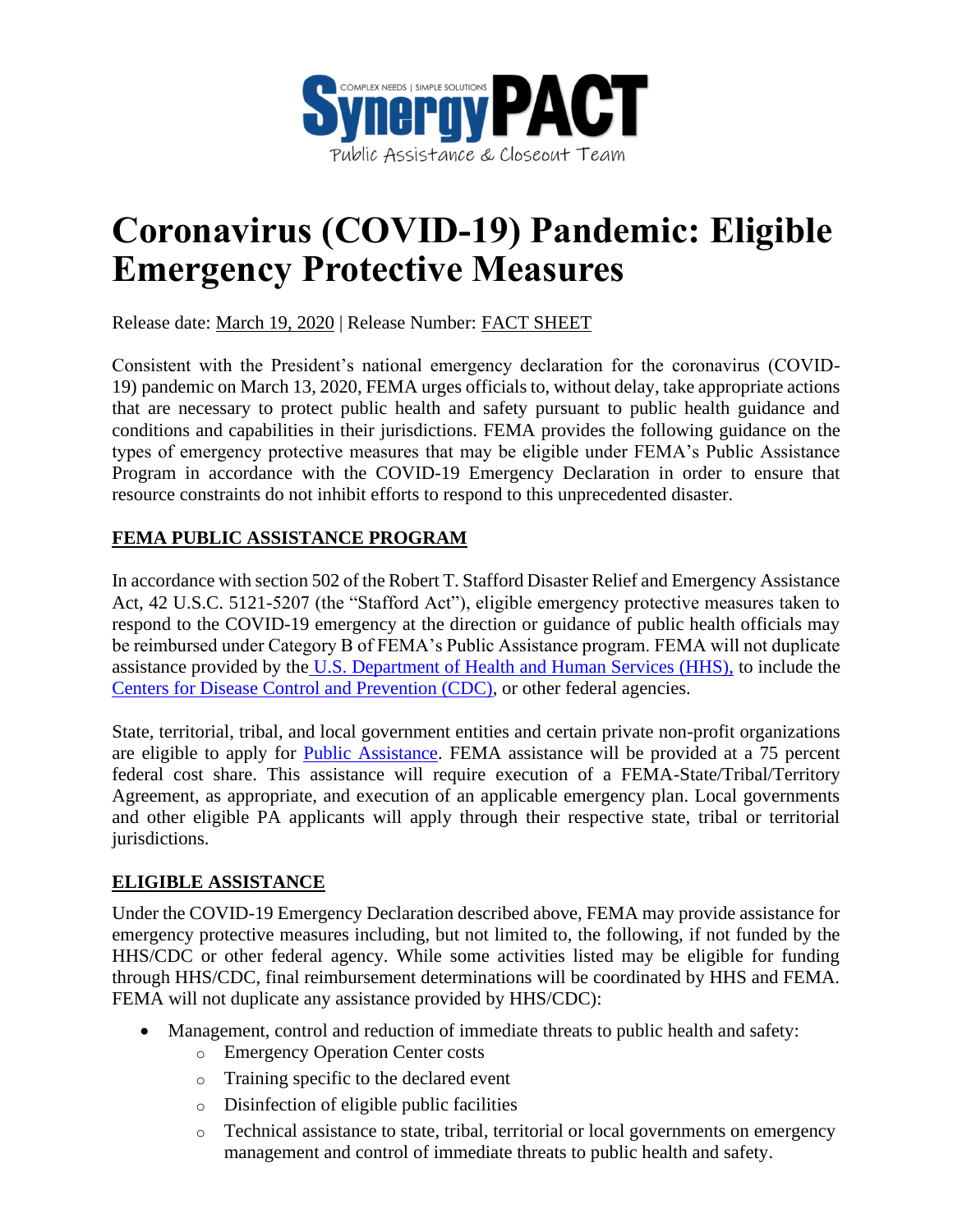

## **Coronavirus (COVID-19) Pandemic: Eligible Emergency Protective Measures**

Release date: March 19, 2020 | Release Number: FACT SHEET

Consistent with the President's national emergency declaration for the coronavirus (COVID-19) pandemic on March 13, 2020, FEMA urges officials to, without delay, take appropriate actions that are necessary to protect public health and safety pursuant to public health guidance and conditions and capabilities in their jurisdictions. FEMA provides the following guidance on the types of emergency protective measures that may be eligible under FEMA's Public Assistance Program in accordance with the COVID-19 Emergency Declaration in order to ensure that resource constraints do not inhibit efforts to respond to this unprecedented disaster.

## **FEMA PUBLIC ASSISTANCE PROGRAM**

In accordance with section 502 of the Robert T. Stafford Disaster Relief and Emergency Assistance Act, 42 U.S.C. 5121-5207 (the "Stafford Act"), eligible emergency protective measures taken to respond to the COVID-19 emergency at the direction or guidance of public health officials may be reimbursed under Category B of FEMA's Public Assistance program. FEMA will not duplicate assistance provided by the [U.S. Department of Health and Human Services \(HHS\),](http://www.hhs.gov/) to include the [Centers for Disease Control and Prevention \(CDC\),](http://www.cdc.gov/) or other federal agencies.

State, territorial, tribal, and local government entities and certain private non-profit organizations are eligible to apply for [Public Assistance.](https://www.fema.gov/public-assistance-local-state-tribal-and-non-profit) FEMA assistance will be provided at a 75 percent federal cost share. This assistance will require execution of a FEMA-State/Tribal/Territory Agreement, as appropriate, and execution of an applicable emergency plan. Local governments and other eligible PA applicants will apply through their respective state, tribal or territorial jurisdictions.

## **ELIGIBLE ASSISTANCE**

Under the COVID-19 Emergency Declaration described above, FEMA may provide assistance for emergency protective measures including, but not limited to, the following, if not funded by the HHS/CDC or other federal agency. While some activities listed may be eligible for funding through HHS/CDC, final reimbursement determinations will be coordinated by HHS and FEMA. FEMA will not duplicate any assistance provided by HHS/CDC):

- Management, control and reduction of immediate threats to public health and safety:
	- o Emergency Operation Center costs
	- o Training specific to the declared event
	- o Disinfection of eligible public facilities
	- o Technical assistance to state, tribal, territorial or local governments on emergency management and control of immediate threats to public health and safety.